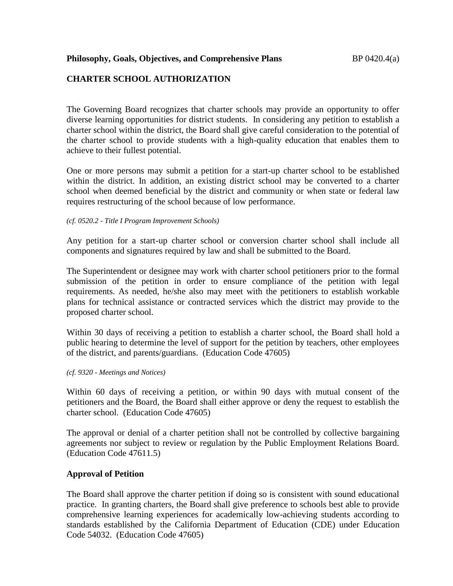# **CHARTER SCHOOL AUTHORIZATION**

The Governing Board recognizes that charter schools may provide an opportunity to offer diverse learning opportunities for district students. In considering any petition to establish a charter school within the district, the Board shall give careful consideration to the potential of the charter school to provide students with a high-quality education that enables them to achieve to their fullest potential.

One or more persons may submit a petition for a start-up charter school to be established within the district. In addition, an existing district school may be converted to a charter school when deemed beneficial by the district and community or when state or federal law requires restructuring of the school because of low performance.

*(cf. 0520.2 - Title I Program Improvement Schools)* 

Any petition for a start-up charter school or conversion charter school shall include all components and signatures required by law and shall be submitted to the Board.

The Superintendent or designee may work with charter school petitioners prior to the formal submission of the petition in order to ensure compliance of the petition with legal requirements. As needed, he/she also may meet with the petitioners to establish workable plans for technical assistance or contracted services which the district may provide to the proposed charter school.

Within 30 days of receiving a petition to establish a charter school, the Board shall hold a public hearing to determine the level of support for the petition by teachers, other employees of the district, and parents/guardians. (Education Code 47605)

*(cf. 9320 - Meetings and Notices)*

Within 60 days of receiving a petition, or within 90 days with mutual consent of the petitioners and the Board, the Board shall either approve or deny the request to establish the charter school. (Education Code 47605)

The approval or denial of a charter petition shall not be controlled by collective bargaining agreements nor subject to review or regulation by the Public Employment Relations Board. (Education Code 47611.5)

## **Approval of Petition**

The Board shall approve the charter petition if doing so is consistent with sound educational practice. In granting charters, the Board shall give preference to schools best able to provide comprehensive learning experiences for academically low-achieving students according to standards established by the California Department of Education (CDE) under Education Code 54032. (Education Code 47605)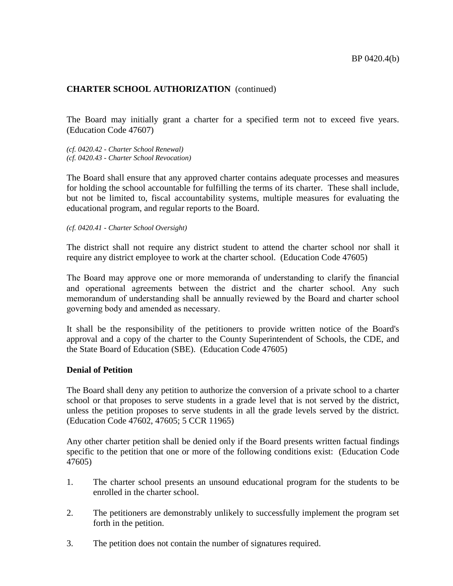The Board may initially grant a charter for a specified term not to exceed five years. (Education Code 47607)

*(cf. 0420.42 - Charter School Renewal) (cf. 0420.43 - Charter School Revocation)*

The Board shall ensure that any approved charter contains adequate processes and measures for holding the school accountable for fulfilling the terms of its charter. These shall include, but not be limited to, fiscal accountability systems, multiple measures for evaluating the educational program, and regular reports to the Board.

*(cf. 0420.41 - Charter School Oversight)*

The district shall not require any district student to attend the charter school nor shall it require any district employee to work at the charter school. (Education Code 47605)

The Board may approve one or more memoranda of understanding to clarify the financial and operational agreements between the district and the charter school. Any such memorandum of understanding shall be annually reviewed by the Board and charter school governing body and amended as necessary.

It shall be the responsibility of the petitioners to provide written notice of the Board's approval and a copy of the charter to the County Superintendent of Schools, the CDE, and the State Board of Education (SBE). (Education Code 47605)

#### **Denial of Petition**

The Board shall deny any petition to authorize the conversion of a private school to a charter school or that proposes to serve students in a grade level that is not served by the district, unless the petition proposes to serve students in all the grade levels served by the district. (Education Code 47602, 47605; 5 CCR 11965)

Any other charter petition shall be denied only if the Board presents written factual findings specific to the petition that one or more of the following conditions exist: (Education Code 47605)

- 1. The charter school presents an unsound educational program for the students to be enrolled in the charter school.
- 2. The petitioners are demonstrably unlikely to successfully implement the program set forth in the petition.
- 3. The petition does not contain the number of signatures required.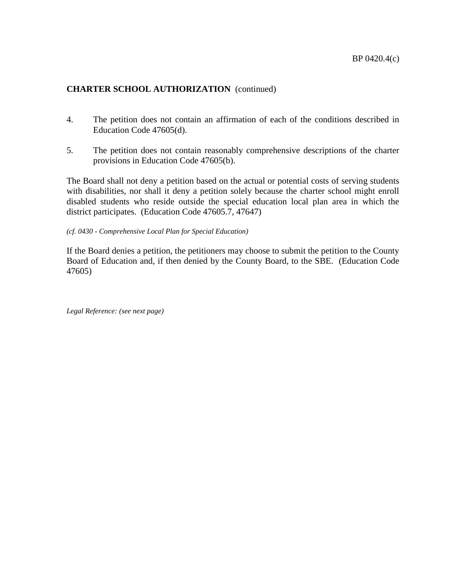- 4. The petition does not contain an affirmation of each of the conditions described in Education Code 47605(d).
- 5. The petition does not contain reasonably comprehensive descriptions of the charter provisions in Education Code 47605(b).

The Board shall not deny a petition based on the actual or potential costs of serving students with disabilities, nor shall it deny a petition solely because the charter school might enroll disabled students who reside outside the special education local plan area in which the district participates. (Education Code 47605.7, 47647)

*(cf. 0430 - Comprehensive Local Plan for Special Education)*

If the Board denies a petition, the petitioners may choose to submit the petition to the County Board of Education and, if then denied by the County Board, to the SBE. (Education Code 47605)

*Legal Reference: (see next page)*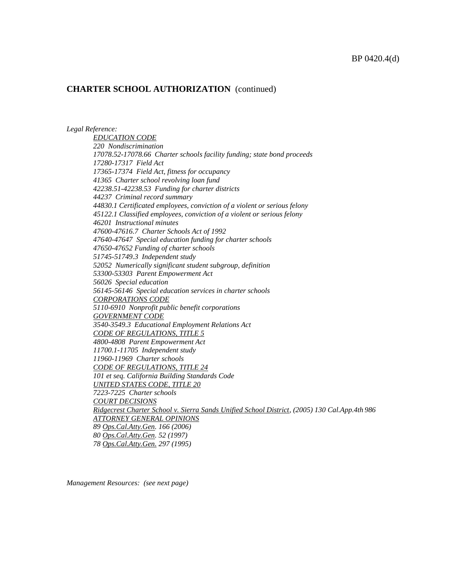*Legal Reference:*

*EDUCATION CODE 220 Nondiscrimination 17078.52-17078.66 Charter schools facility funding; state bond proceeds 17280-17317 Field Act 17365-17374 Field Act, fitness for occupancy 41365 Charter school revolving loan fund 42238.51-42238.53 Funding for charter districts 44237 Criminal record summary 44830.1 Certificated employees, conviction of a violent or serious felony 45122.1 Classified employees, conviction of a violent or serious felony 46201 Instructional minutes 47600-47616.7 Charter Schools Act of 1992 47640-47647 Special education funding for charter schools 47650-47652 Funding of charter schools 51745-51749.3 Independent study 52052 Numerically significant student subgroup, definition 53300-53303 Parent Empowerment Act 56026 Special education 56145-56146 Special education services in charter schools CORPORATIONS CODE 5110-6910 Nonprofit public benefit corporations GOVERNMENT CODE 3540-3549.3 Educational Employment Relations Act CODE OF REGULATIONS, TITLE 5 4800-4808 Parent Empowerment Act 11700.1-11705 Independent study 11960-11969 Charter schools CODE OF REGULATIONS, TITLE 24 101 et seq. California Building Standards Code UNITED STATES CODE, TITLE 20 7223-7225 Charter schools COURT DECISIONS Ridgecrest Charter School v. Sierra Sands Unified School District, (2005) 130 Cal.App.4th 986 ATTORNEY GENERAL OPINIONS 89 Ops.Cal.Atty.Gen. 166 (2006) 80 Ops.Cal.Atty.Gen. 52 (1997) 78 Ops.Cal.Atty.Gen. 297 (1995)*

*Management Resources: (see next page)*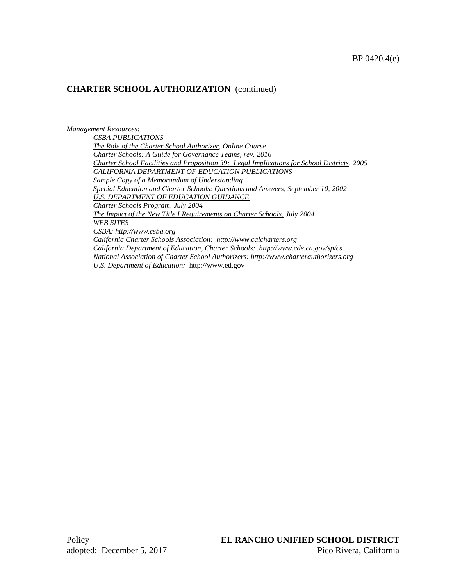*Management Resources: CSBA PUBLICATIONS The Role of the Charter School Authorizer, Online Course Charter Schools: A Guide for Governance Teams, rev. 2016 Charter School Facilities and Proposition 39: Legal Implications for School Districts, 2005 CALIFORNIA DEPARTMENT OF EDUCATION PUBLICATIONS Sample Copy of a Memorandum of Understanding Special Education and Charter Schools: Questions and Answers, September 10, 2002 U.S. DEPARTMENT OF EDUCATION GUIDANCE Charter Schools Program, July 2004 The Impact of the New Title I Requirements on Charter Schools, July 2004 WEB SITES CSBA: http://www.csba.org California Charter Schools Association: http://www.calcharters.org California Department of Education, Charter Schools: http://www.cde.ca.gov/sp/cs National Association of Charter School Authorizers: http://www.charterauthorizers.org U.S. Department of Education:* http://www.ed.gov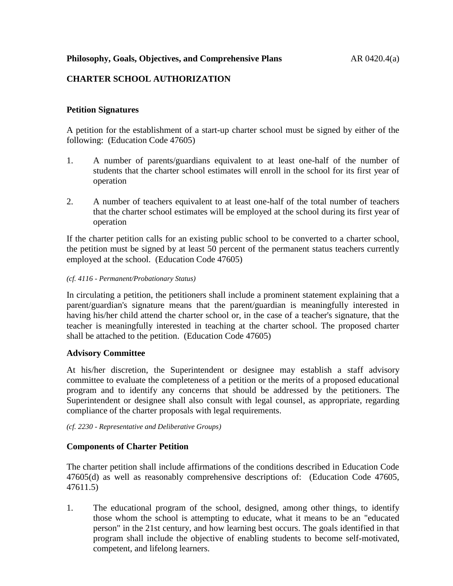**Philosophy, Goals, Objectives, and Comprehensive Plans** AR 0420.4(a)

# **CHARTER SCHOOL AUTHORIZATION**

### **Petition Signatures**

A petition for the establishment of a start-up charter school must be signed by either of the following: (Education Code 47605)

- 1. A number of parents/guardians equivalent to at least one-half of the number of students that the charter school estimates will enroll in the school for its first year of operation
- 2. A number of teachers equivalent to at least one-half of the total number of teachers that the charter school estimates will be employed at the school during its first year of operation

If the charter petition calls for an existing public school to be converted to a charter school, the petition must be signed by at least 50 percent of the permanent status teachers currently employed at the school. (Education Code 47605)

#### *(cf. 4116 - Permanent/Probationary Status)*

In circulating a petition, the petitioners shall include a prominent statement explaining that a parent/guardian's signature means that the parent/guardian is meaningfully interested in having his/her child attend the charter school or, in the case of a teacher's signature, that the teacher is meaningfully interested in teaching at the charter school. The proposed charter shall be attached to the petition. (Education Code 47605)

### **Advisory Committee**

At his/her discretion, the Superintendent or designee may establish a staff advisory committee to evaluate the completeness of a petition or the merits of a proposed educational program and to identify any concerns that should be addressed by the petitioners. The Superintendent or designee shall also consult with legal counsel, as appropriate, regarding compliance of the charter proposals with legal requirements.

### *(cf. 2230 - Representative and Deliberative Groups)*

### **Components of Charter Petition**

The charter petition shall include affirmations of the conditions described in Education Code 47605(d) as well as reasonably comprehensive descriptions of: (Education Code 47605, 47611.5)

1. The educational program of the school, designed, among other things, to identify those whom the school is attempting to educate, what it means to be an "educated person" in the 21st century, and how learning best occurs. The goals identified in that program shall include the objective of enabling students to become self-motivated, competent, and lifelong learners.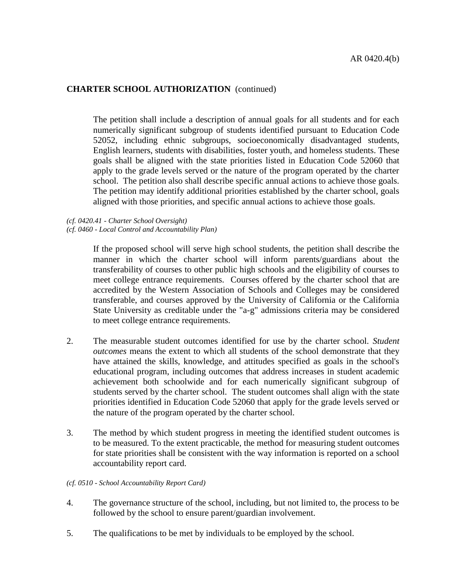The petition shall include a description of annual goals for all students and for each numerically significant subgroup of students identified pursuant to Education Code 52052, including ethnic subgroups, socioeconomically disadvantaged students, English learners, students with disabilities, foster youth, and homeless students. These goals shall be aligned with the state priorities listed in Education Code 52060 that apply to the grade levels served or the nature of the program operated by the charter school. The petition also shall describe specific annual actions to achieve those goals. The petition may identify additional priorities established by the charter school, goals aligned with those priorities, and specific annual actions to achieve those goals.

*(cf. 0420.41 - Charter School Oversight)*

*(cf. 0460 - Local Control and Accountability Plan)*

If the proposed school will serve high school students, the petition shall describe the manner in which the charter school will inform parents/guardians about the transferability of courses to other public high schools and the eligibility of courses to meet college entrance requirements. Courses offered by the charter school that are accredited by the Western Association of Schools and Colleges may be considered transferable, and courses approved by the University of California or the California State University as creditable under the "a-g" admissions criteria may be considered to meet college entrance requirements.

- 2. The measurable student outcomes identified for use by the charter school. *Student outcomes* means the extent to which all students of the school demonstrate that they have attained the skills, knowledge, and attitudes specified as goals in the school's educational program, including outcomes that address increases in student academic achievement both schoolwide and for each numerically significant subgroup of students served by the charter school. The student outcomes shall align with the state priorities identified in Education Code 52060 that apply for the grade levels served or the nature of the program operated by the charter school.
- 3. The method by which student progress in meeting the identified student outcomes is to be measured. To the extent practicable, the method for measuring student outcomes for state priorities shall be consistent with the way information is reported on a school accountability report card.

#### *(cf. 0510 - School Accountability Report Card)*

- 4. The governance structure of the school, including, but not limited to, the process to be followed by the school to ensure parent/guardian involvement.
- 5. The qualifications to be met by individuals to be employed by the school.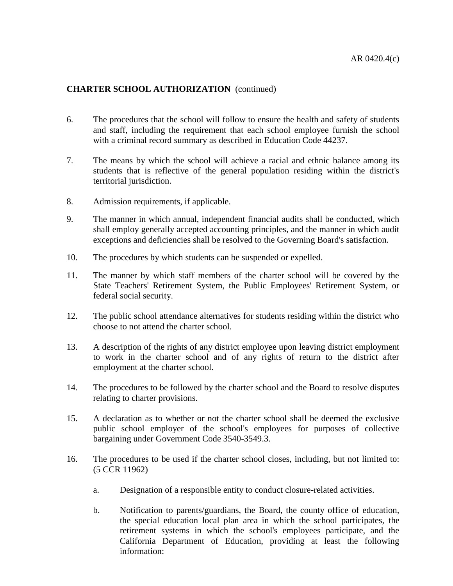- 6. The procedures that the school will follow to ensure the health and safety of students and staff, including the requirement that each school employee furnish the school with a criminal record summary as described in Education Code 44237.
- 7. The means by which the school will achieve a racial and ethnic balance among its students that is reflective of the general population residing within the district's territorial jurisdiction.
- 8. Admission requirements, if applicable.
- 9. The manner in which annual, independent financial audits shall be conducted, which shall employ generally accepted accounting principles, and the manner in which audit exceptions and deficiencies shall be resolved to the Governing Board's satisfaction.
- 10. The procedures by which students can be suspended or expelled.
- 11. The manner by which staff members of the charter school will be covered by the State Teachers' Retirement System, the Public Employees' Retirement System, or federal social security.
- 12. The public school attendance alternatives for students residing within the district who choose to not attend the charter school.
- 13. A description of the rights of any district employee upon leaving district employment to work in the charter school and of any rights of return to the district after employment at the charter school.
- 14. The procedures to be followed by the charter school and the Board to resolve disputes relating to charter provisions.
- 15. A declaration as to whether or not the charter school shall be deemed the exclusive public school employer of the school's employees for purposes of collective bargaining under Government Code 3540-3549.3.
- 16. The procedures to be used if the charter school closes, including, but not limited to: (5 CCR 11962)
	- a. Designation of a responsible entity to conduct closure-related activities.
	- b. Notification to parents/guardians, the Board, the county office of education, the special education local plan area in which the school participates, the retirement systems in which the school's employees participate, and the California Department of Education, providing at least the following information: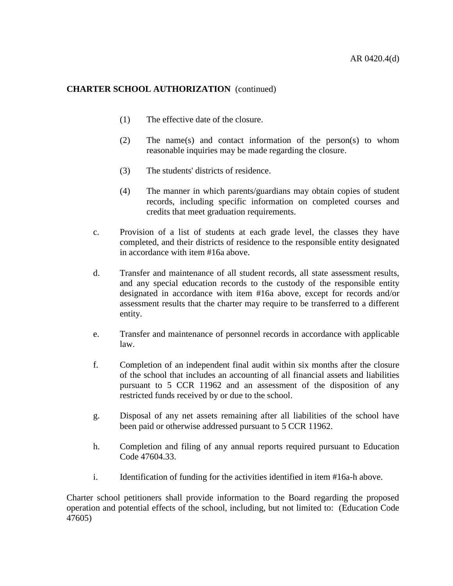- (1) The effective date of the closure.
- (2) The name(s) and contact information of the person(s) to whom reasonable inquiries may be made regarding the closure.
- (3) The students' districts of residence.
- (4) The manner in which parents/guardians may obtain copies of student records, including specific information on completed courses and credits that meet graduation requirements.
- c. Provision of a list of students at each grade level, the classes they have completed, and their districts of residence to the responsible entity designated in accordance with item #16a above.
- d. Transfer and maintenance of all student records, all state assessment results, and any special education records to the custody of the responsible entity designated in accordance with item #16a above, except for records and/or assessment results that the charter may require to be transferred to a different entity.
- e. Transfer and maintenance of personnel records in accordance with applicable law.
- f. Completion of an independent final audit within six months after the closure of the school that includes an accounting of all financial assets and liabilities pursuant to 5 CCR 11962 and an assessment of the disposition of any restricted funds received by or due to the school.
- g. Disposal of any net assets remaining after all liabilities of the school have been paid or otherwise addressed pursuant to 5 CCR 11962.
- h. Completion and filing of any annual reports required pursuant to Education Code 47604.33.
- i. Identification of funding for the activities identified in item #16a-h above.

Charter school petitioners shall provide information to the Board regarding the proposed operation and potential effects of the school, including, but not limited to: (Education Code 47605)